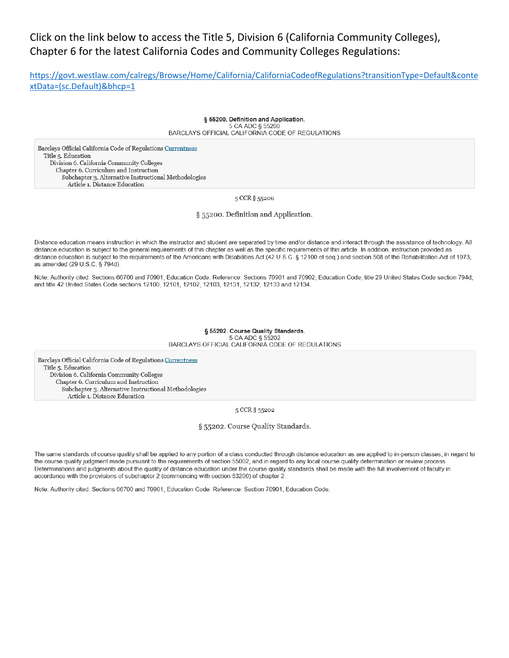# Click on the link below to access the Title 5, Division 6 (California Community Colleges), Chapter 6 for the latest California Codes and Community Colleges Regulations:

https://govt.westlaw.com/calregs/Browse/Home/California/CaliforniaCodeofRegulations?transitionType=Default&conte xtData=(sc.Default)&bhcp=1

> § 55200. Definition and Application. 5 CA ADC § 55200 BARCLAYS OFFICIAL CALIFORNIA CODE OF REGULATIONS

Barclays Official California Code of Regulations Currentness Title 5. Education Division 6. California Community Colleges Chapter 6. Curriculum and Instruction Subchapter 3. Alternative Instructional Methodologies Article 1. Distance Education

5 CCR § 55200

§ 55200. Definition and Application.

Distance education means instruction in which the instructor and student are separated by time and/or distance and interact through the assistance of technology. All distance education is subject to the general requirements of this chapter as well as the specific requirements of this article. In addition, instruction provided as distance education is subject to the requirements of the Americans with Disabilities Act (42 U.S.C. § 12100 et seq.) and section 508 of the Rehabilitation Act of 1973, as amended (29 U.S.C. § 794d).

Note: Authority cited: Sections 66700 and 70901, Education Code. Reference: Sections 70901 and 70902, Education Code; title 29 United States Code section 794d; and title 42 United States Code sections 12100, 12101, 12102, 12103, 12131, 12132, 12133 and 12134.

#### § 55202. Course Quality Standards. 5 CA ADC § 55202 BARCLAYS OFFICIAL CALIFORNIA CODE OF REGULATIONS

Barclays Official California Code of Regulations Currentness Title 5. Education Division 6. California Community Colleges Chapter 6. Curriculum and Instruction Subchapter 3. Alternative Instructional Methodologies Article 1. Distance Education

5 CCR § 55202

§ 55202. Course Quality Standards.

The same standards of course quality shall be applied to any portion of a class conducted through distance education as are applied to in-person classes, in regard to the course quality judgment made pursuant to the requirements of section 55002, and in regard to any local course quality determination or review process. Determinations and judgments about the quality of distance education under the course quality standards shall be made with the full involvement of faculty in accordance with the provisions of subchapter 2 (commencing with section 53200) of chapter 2.

Note: Authority cited: Sections 66700 and 70901, Education Code. Reference: Section 70901, Education Code.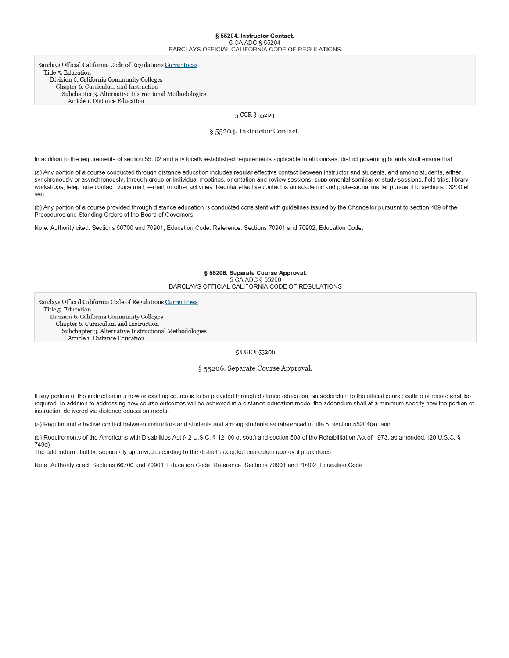#### § 55204. Instructor Contact. 5 CA ADC § 55204 BARCLAYS OFFICIAL CALIFORNIA CODE OF REGULATIONS

Barclays Official California Code of Regulations Currentness Title 5. Education Division 6. California Community Colleges Chapter 6. Curriculum and Instruction Subchapter 3. Alternative Instructional Methodologies Article 1. Distance Education

5 CCR § 55204

§ 55204. Instructor Contact.

In addition to the requirements of section 55002 and any locally established requirements applicable to all courses, district governing boards shall ensure that:

(a) Any portion of a course conducted through distance education includes regular effective contact between instructor and students, and among students, either synchronously or asynchronously, through group or individual meetings, orientation and review sessions, supplemental seminar or study sessions, field trips, library workshops, telephone contact, voice mail, e-mail, or other activities. Regular effective contact is an academic and professional matter pursuant to sections 53200 et seq.

(b) Any portion of a course provided through distance education is conducted consistent with guidelines issued by the Chancellor pursuant to section 409 of the Procedures and Standing Orders of the Board of Governors

Note: Authority cited: Sections 66700 and 70901, Education Code. Reference: Sections 70901 and 70902, Education Code.

#### § 55206. Separate Course Approval. 5 CA ADC § 55206 BARCLAYS OFFICIAL CALIFORNIA CODE OF REGULATIONS

Barclays Official California Code of Regulations Currentness Title 5. Education Division 6. California Community Colleges Chapter 6. Curriculum and Instruction Subchapter 3. Alternative Instructional Methodologies Article 1. Distance Education

5 CCR § 55206

§ 55206. Separate Course Approval.

If any portion of the instruction in a new or existing course is to be provided through distance education, an addendum to the official course outline of record shall be required. In addition to addressing how course outcomes will be achieved in a distance education mode, the addendum shall at a minimum specify how the portion of instruction delivered via distance education meets:

(a) Regular and effective contact between instructors and students and among students as referenced in title 5, section 55204(a), and

(b) Requirements of the Americans with Disabilities Act (42 U.S.C. § 12100 et seq.) and section 508 of the Rehabilitation Act of 1973, as amended, (29 U.S.C. § 749d)

The addendum shall be separately approved according to the district's adopted curriculum approval procedures.

Note: Authority cited: Sections 66700 and 70901, Education Code. Reference: Sections 70901 and 70902, Education Code.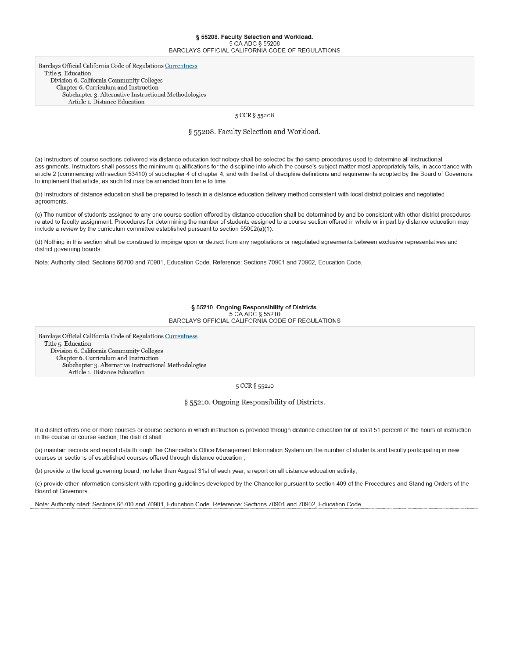### § 55208. Faculty Selection and Workload. BARCLAYS OFFICIAL CALIFORNIA CODE OF REGULATIONS

Barclays Official California Code of Regulations Currentness Title 5. Education Division 6. California Community Colleges Chapter 6. Curriculum and Instruction Subchapter 3. Alternative Instructional Methodologies Article 1. Distance Education

5 CCR § 55208

§ 55208. Faculty Selection and Workload.

(a) Instructors of course sections delivered via distance education technology shall be selected by the same procedures used to determine all instructional assignments. Instructors shall possess the minimum qualifications for the discipline into which the course's subject matter most appropriately falls, in accordance with article 2 (commencing with section 53410) of subchapter 4 of chapter 4, and with the list of discipline definitions and requirements adopted by the Board of Governors to implement that article, as such list may be amended from time to time.

(b) Instructors of distance education shall be prepared to teach in a distance education delivery method consistent with local district policies and negotiated agreements.

(c) The number of students assigned to any one course section offered by distance education shall be determined by and be consistent with other district procedures related to faculty assignment. Procedures for determining the number of students assigned to a course section offered in whole or in part by distance education may include a review by the curriculum committee established pursuant to section 55002(a)(1).

(d) Nothing in this section shall be construed to impinge upon or detract from any negotiations or negotiated agreements between exclusive representatives and district governing boards.

Note: Authority cited: Sections 66700 and 70901, Education Code. Reference: Sections 70901 and 70902, Education Code.

§ 55210. Ongoing Responsibility of Districts. 5 CA ADC § 55210 BARCLAYS OFFICIAL CALIFORNIA CODE OF REGULATIONS

Barclays Official California Code of Regulations Currentness Title 5. Education Division 6. California Community Colleges Chapter 6. Curriculum and Instruction Subchapter 3. Alternative Instructional Methodologies Article 1. Distance Education

5 CCR § 55210

§ 55210. Ongoing Responsibility of Districts.

If a district offers one or more courses or course sections in which instruction is provided through distance education for at least 51 percent of the hours of instruction in the course or course section, the district shall

(a) maintain records and report data through the Chancellor's Office Management Information System on the number of students and faculty participating in new courses or sections of established courses offered through distance education;

(b) provide to the local governing board, no later than August 31st of each year, a report on all distance education activity;

(c) provide other information consistent with reporting guidelines developed by the Chancellor pursuant to section 409 of the Procedures and Standing Orders of the Board of Governors.

Note: Authority cited: Sections 66700 and 70901, Education Code. Reference: Sections 70901 and 70902, Education Code.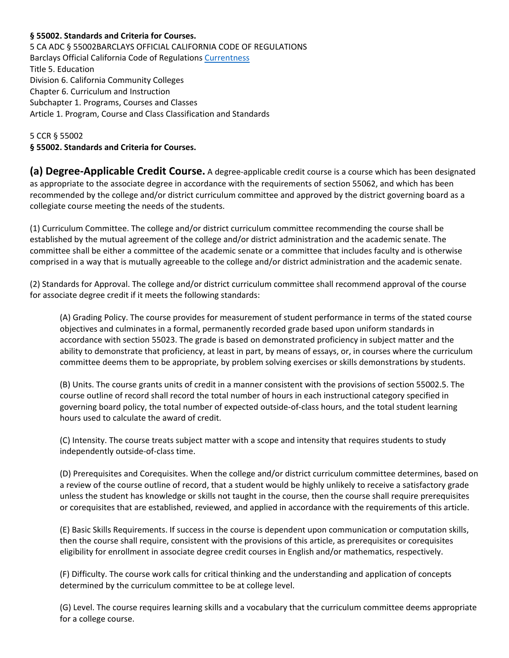#### **§ 55002. Standards and Criteria for Courses.**

5 CA ADC § 55002BARCLAYS OFFICIAL CALIFORNIA CODE OF REGULATIONS Barclays Official California Code of Regulations [Currentness](https://govt.westlaw.com/calregs/Document/I02E2C60D166D4806B63BA4AF82F76323?viewType=FullText&originationContext=documenttoc&transitionType=CategoryPageItem&contextData=(sc.Default)#co_anchor_I41B1DF980D15450DA7375E8C2F4A573A) Title 5. Education Division 6. California Community Colleges Chapter 6. Curriculum and Instruction Subchapter 1. Programs, Courses and Classes Article 1. Program, Course and Class Classification and Standards

5 CCR § 55002 **§ 55002. Standards and Criteria for Courses.**

**(a) Degree-Applicable Credit Course.** A degree-applicable credit course is a course which has been designated as appropriate to the associate degree in accordance with the requirements of section 55062, and which has been recommended by the college and/or district curriculum committee and approved by the district governing board as a collegiate course meeting the needs of the students.

(1) Curriculum Committee. The college and/or district curriculum committee recommending the course shall be established by the mutual agreement of the college and/or district administration and the academic senate. The committee shall be either a committee of the academic senate or a committee that includes faculty and is otherwise comprised in a way that is mutually agreeable to the college and/or district administration and the academic senate.

(2) Standards for Approval. The college and/or district curriculum committee shall recommend approval of the course for associate degree credit if it meets the following standards:

(A) Grading Policy. The course provides for measurement of student performance in terms of the stated course objectives and culminates in a formal, permanently recorded grade based upon uniform standards in accordance with section 55023. The grade is based on demonstrated proficiency in subject matter and the ability to demonstrate that proficiency, at least in part, by means of essays, or, in courses where the curriculum committee deems them to be appropriate, by problem solving exercises or skills demonstrations by students.

(B) Units. The course grants units of credit in a manner consistent with the provisions of section 55002.5. The course outline of record shall record the total number of hours in each instructional category specified in governing board policy, the total number of expected outside-of-class hours, and the total student learning hours used to calculate the award of credit.

(C) Intensity. The course treats subject matter with a scope and intensity that requires students to study independently outside-of-class time.

(D) Prerequisites and Corequisites. When the college and/or district curriculum committee determines, based on a review of the course outline of record, that a student would be highly unlikely to receive a satisfactory grade unless the student has knowledge or skills not taught in the course, then the course shall require prerequisites or corequisites that are established, reviewed, and applied in accordance with the requirements of this article.

(E) Basic Skills Requirements. If success in the course is dependent upon communication or computation skills, then the course shall require, consistent with the provisions of this article, as prerequisites or corequisites eligibility for enrollment in associate degree credit courses in English and/or mathematics, respectively.

(F) Difficulty. The course work calls for critical thinking and the understanding and application of concepts determined by the curriculum committee to be at college level.

(G) Level. The course requires learning skills and a vocabulary that the curriculum committee deems appropriate for a college course.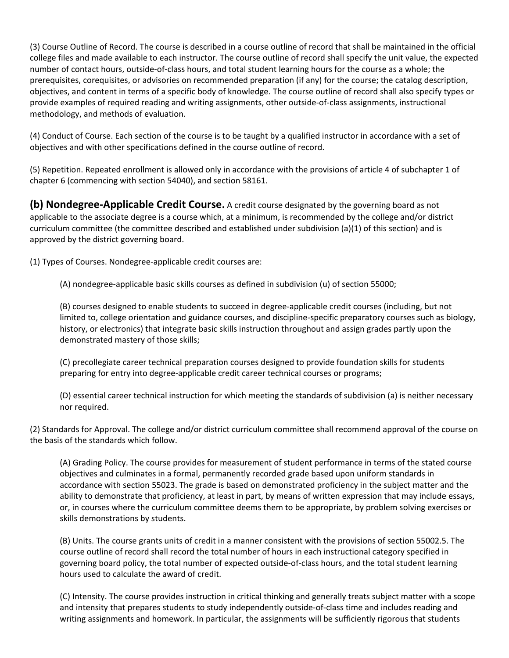(3) Course Outline of Record. The course is described in a course outline of record that shall be maintained in the official college files and made available to each instructor. The course outline of record shall specify the unit value, the expected number of contact hours, outside-of-class hours, and total student learning hours for the course as a whole; the prerequisites, corequisites, or advisories on recommended preparation (if any) for the course; the catalog description, objectives, and content in terms of a specific body of knowledge. The course outline of record shall also specify types or provide examples of required reading and writing assignments, other outside-of-class assignments, instructional methodology, and methods of evaluation.

(4) Conduct of Course. Each section of the course is to be taught by a qualified instructor in accordance with a set of objectives and with other specifications defined in the course outline of record.

(5) Repetition. Repeated enrollment is allowed only in accordance with the provisions of article 4 of subchapter 1 of chapter 6 (commencing with section 54040), and section 58161.

**(b) Nondegree-Applicable Credit Course.** A credit course designated by the governing board as not applicable to the associate degree is a course which, at a minimum, is recommended by the college and/or district curriculum committee (the committee described and established under subdivision (a)(1) of this section) and is approved by the district governing board.

(1) Types of Courses. Nondegree-applicable credit courses are:

(A) nondegree-applicable basic skills courses as defined in subdivision (u) of section 55000;

(B) courses designed to enable students to succeed in degree-applicable credit courses (including, but not limited to, college orientation and guidance courses, and discipline-specific preparatory courses such as biology, history, or electronics) that integrate basic skills instruction throughout and assign grades partly upon the demonstrated mastery of those skills;

(C) precollegiate career technical preparation courses designed to provide foundation skills for students preparing for entry into degree-applicable credit career technical courses or programs;

(D) essential career technical instruction for which meeting the standards of subdivision (a) is neither necessary nor required.

(2) Standards for Approval. The college and/or district curriculum committee shall recommend approval of the course on the basis of the standards which follow.

(A) Grading Policy. The course provides for measurement of student performance in terms of the stated course objectives and culminates in a formal, permanently recorded grade based upon uniform standards in accordance with section 55023. The grade is based on demonstrated proficiency in the subject matter and the ability to demonstrate that proficiency, at least in part, by means of written expression that may include essays, or, in courses where the curriculum committee deems them to be appropriate, by problem solving exercises or skills demonstrations by students.

(B) Units. The course grants units of credit in a manner consistent with the provisions of section 55002.5. The course outline of record shall record the total number of hours in each instructional category specified in governing board policy, the total number of expected outside-of-class hours, and the total student learning hours used to calculate the award of credit.

(C) Intensity. The course provides instruction in critical thinking and generally treats subject matter with a scope and intensity that prepares students to study independently outside-of-class time and includes reading and writing assignments and homework. In particular, the assignments will be sufficiently rigorous that students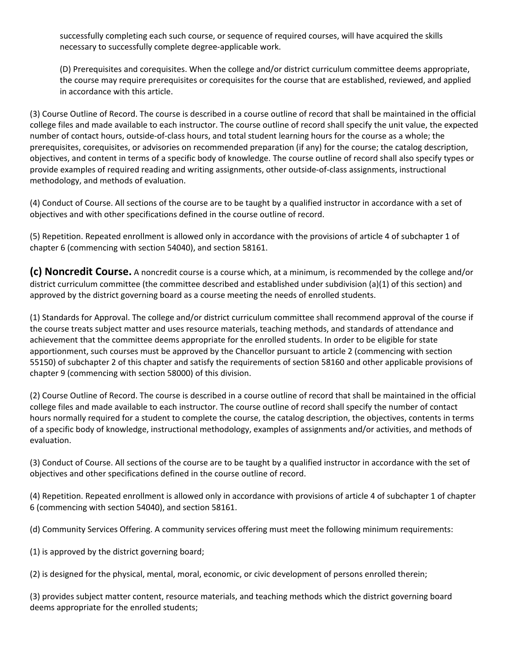successfully completing each such course, or sequence of required courses, will have acquired the skills necessary to successfully complete degree-applicable work.

(D) Prerequisites and corequisites. When the college and/or district curriculum committee deems appropriate, the course may require prerequisites or corequisites for the course that are established, reviewed, and applied in accordance with this article.

(3) Course Outline of Record. The course is described in a course outline of record that shall be maintained in the official college files and made available to each instructor. The course outline of record shall specify the unit value, the expected number of contact hours, outside-of-class hours, and total student learning hours for the course as a whole; the prerequisites, corequisites, or advisories on recommended preparation (if any) for the course; the catalog description, objectives, and content in terms of a specific body of knowledge. The course outline of record shall also specify types or provide examples of required reading and writing assignments, other outside-of-class assignments, instructional methodology, and methods of evaluation.

(4) Conduct of Course. All sections of the course are to be taught by a qualified instructor in accordance with a set of objectives and with other specifications defined in the course outline of record.

(5) Repetition. Repeated enrollment is allowed only in accordance with the provisions of article 4 of subchapter 1 of chapter 6 (commencing with section 54040), and section 58161.

**(c) Noncredit Course.** A noncredit course is a course which, at a minimum, is recommended by the college and/or district curriculum committee (the committee described and established under subdivision (a)(1) of this section) and approved by the district governing board as a course meeting the needs of enrolled students.

(1) Standards for Approval. The college and/or district curriculum committee shall recommend approval of the course if the course treats subject matter and uses resource materials, teaching methods, and standards of attendance and achievement that the committee deems appropriate for the enrolled students. In order to be eligible for state apportionment, such courses must be approved by the Chancellor pursuant to article 2 (commencing with section 55150) of subchapter 2 of this chapter and satisfy the requirements of section 58160 and other applicable provisions of chapter 9 (commencing with section 58000) of this division.

(2) Course Outline of Record. The course is described in a course outline of record that shall be maintained in the official college files and made available to each instructor. The course outline of record shall specify the number of contact hours normally required for a student to complete the course, the catalog description, the objectives, contents in terms of a specific body of knowledge, instructional methodology, examples of assignments and/or activities, and methods of evaluation.

(3) Conduct of Course. All sections of the course are to be taught by a qualified instructor in accordance with the set of objectives and other specifications defined in the course outline of record.

(4) Repetition. Repeated enrollment is allowed only in accordance with provisions of article 4 of subchapter 1 of chapter 6 (commencing with section 54040), and section 58161.

(d) Community Services Offering. A community services offering must meet the following minimum requirements:

(1) is approved by the district governing board;

(2) is designed for the physical, mental, moral, economic, or civic development of persons enrolled therein;

(3) provides subject matter content, resource materials, and teaching methods which the district governing board deems appropriate for the enrolled students;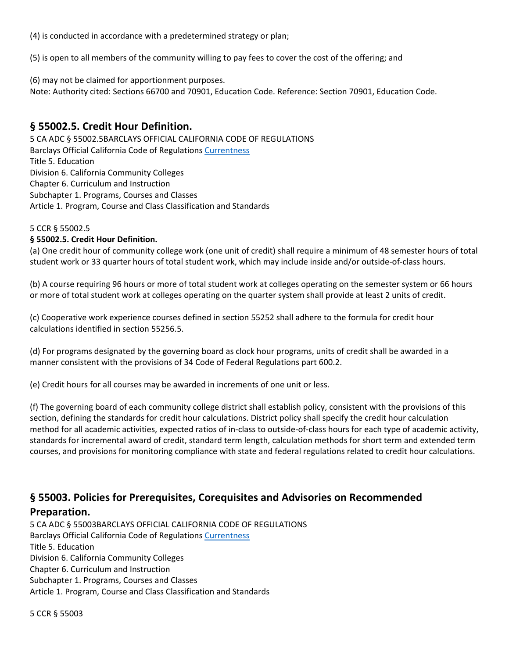(4) is conducted in accordance with a predetermined strategy or plan;

(5) is open to all members of the community willing to pay fees to cover the cost of the offering; and

(6) may not be claimed for apportionment purposes.

Note: Authority cited: Sections 66700 and 70901, Education Code. Reference: Section 70901, Education Code.

## **§ 55002.5. Credit Hour Definition.**

5 CA ADC § 55002.5BARCLAYS OFFICIAL CALIFORNIA CODE OF REGULATIONS Barclays Official California Code of Regulations [Currentness](https://govt.westlaw.com/calregs/Document/IF9AED87EA0534485B1921A5EED08BBC0?viewType=FullText&originationContext=documenttoc&transitionType=CategoryPageItem&contextData=(sc.Default)#co_anchor_I33ADBCE763C84DB0BA20EC161215A4D8) Title 5. Education Division 6. California Community Colleges Chapter 6. Curriculum and Instruction Subchapter 1. Programs, Courses and Classes Article 1. Program, Course and Class Classification and Standards

#### 5 CCR § 55002.5

#### **§ 55002.5. Credit Hour Definition.**

(a) One credit hour of community college work (one unit of credit) shall require a minimum of 48 semester hours of total student work or 33 quarter hours of total student work, which may include inside and/or outside-of-class hours.

(b) A course requiring 96 hours or more of total student work at colleges operating on the semester system or 66 hours or more of total student work at colleges operating on the quarter system shall provide at least 2 units of credit.

(c) Cooperative work experience courses defined in section 55252 shall adhere to the formula for credit hour calculations identified in section 55256.5.

(d) For programs designated by the governing board as clock hour programs, units of credit shall be awarded in a manner consistent with the provisions of 34 Code of Federal Regulations part 600.2.

(e) Credit hours for all courses may be awarded in increments of one unit or less.

(f) The governing board of each community college district shall establish policy, consistent with the provisions of this section, defining the standards for credit hour calculations. District policy shall specify the credit hour calculation method for all academic activities, expected ratios of in-class to outside-of-class hours for each type of academic activity, standards for incremental award of credit, standard term length, calculation methods for short term and extended term courses, and provisions for monitoring compliance with state and federal regulations related to credit hour calculations.

# **§ 55003. Policies for Prerequisites, Corequisites and Advisories on Recommended Preparation.**

5 CA ADC § 55003BARCLAYS OFFICIAL CALIFORNIA CODE OF REGULATIONS Barclays Official California Code of Regulations [Currentness](https://govt.westlaw.com/calregs/Document/I950943607CD711E0A9F6EE2CF480C8FD?viewType=FullText&originationContext=documenttoc&transitionType=CategoryPageItem&contextData=(sc.Default)#co_anchor_IE019A0BD805B44F5BB7A8B34ED0AA614) Title 5. Education Division 6. California Community Colleges Chapter 6. Curriculum and Instruction Subchapter 1. Programs, Courses and Classes Article 1. Program, Course and Class Classification and Standards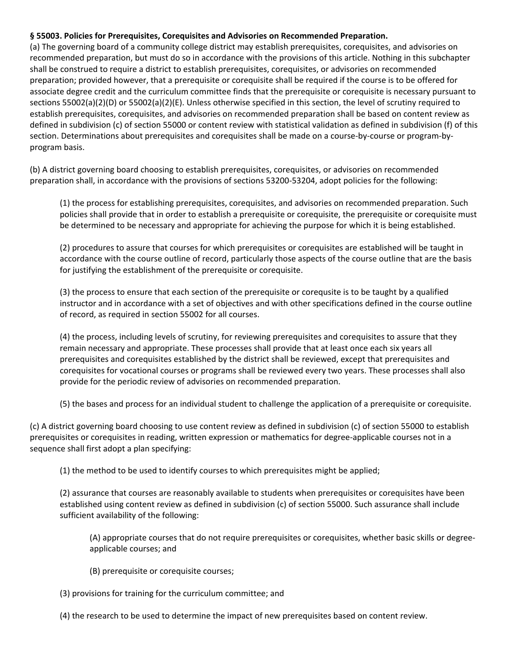#### **§ 55003. Policies for Prerequisites, Corequisites and Advisories on Recommended Preparation.**

(a) The governing board of a community college district may establish prerequisites, corequisites, and advisories on recommended preparation, but must do so in accordance with the provisions of this article. Nothing in this subchapter shall be construed to require a district to establish prerequisites, corequisites, or advisories on recommended preparation; provided however, that a prerequisite or corequisite shall be required if the course is to be offered for associate degree credit and the curriculum committee finds that the prerequisite or corequisite is necessary pursuant to sections 55002(a)(2)(D) or 55002(a)(2)(E). Unless otherwise specified in this section, the level of scrutiny required to establish prerequisites, corequisites, and advisories on recommended preparation shall be based on content review as defined in subdivision (c) of section 55000 or content review with statistical validation as defined in subdivision (f) of this section. Determinations about prerequisites and corequisites shall be made on a course-by-course or program-byprogram basis.

(b) A district governing board choosing to establish prerequisites, corequisites, or advisories on recommended preparation shall, in accordance with the provisions of sections 53200-53204, adopt policies for the following:

(1) the process for establishing prerequisites, corequisites, and advisories on recommended preparation. Such policies shall provide that in order to establish a prerequisite or corequisite, the prerequisite or corequisite must be determined to be necessary and appropriate for achieving the purpose for which it is being established.

(2) procedures to assure that courses for which prerequisites or corequisites are established will be taught in accordance with the course outline of record, particularly those aspects of the course outline that are the basis for justifying the establishment of the prerequisite or corequisite.

(3) the process to ensure that each section of the prerequisite or corequsite is to be taught by a qualified instructor and in accordance with a set of objectives and with other specifications defined in the course outline of record, as required in section 55002 for all courses.

(4) the process, including levels of scrutiny, for reviewing prerequisites and corequisites to assure that they remain necessary and appropriate. These processes shall provide that at least once each six years all prerequisites and corequisites established by the district shall be reviewed, except that prerequisites and corequisites for vocational courses or programs shall be reviewed every two years. These processes shall also provide for the periodic review of advisories on recommended preparation.

(5) the bases and process for an individual student to challenge the application of a prerequisite or corequisite.

(c) A district governing board choosing to use content review as defined in subdivision (c) of section 55000 to establish prerequisites or corequisites in reading, written expression or mathematics for degree-applicable courses not in a sequence shall first adopt a plan specifying:

(1) the method to be used to identify courses to which prerequisites might be applied;

(2) assurance that courses are reasonably available to students when prerequisites or corequisites have been established using content review as defined in subdivision (c) of section 55000. Such assurance shall include sufficient availability of the following:

(A) appropriate courses that do not require prerequisites or corequisites, whether basic skills or degreeapplicable courses; and

- (B) prerequisite or corequisite courses;
- (3) provisions for training for the curriculum committee; and
- (4) the research to be used to determine the impact of new prerequisites based on content review.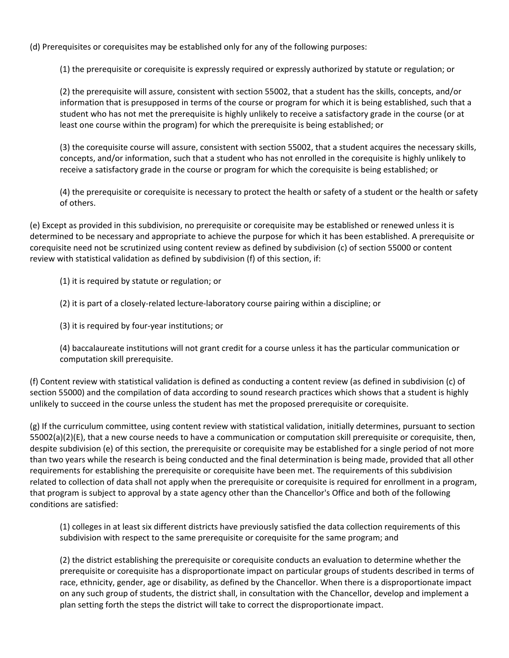(d) Prerequisites or corequisites may be established only for any of the following purposes:

(1) the prerequisite or corequisite is expressly required or expressly authorized by statute or regulation; or

(2) the prerequisite will assure, consistent with section 55002, that a student has the skills, concepts, and/or information that is presupposed in terms of the course or program for which it is being established, such that a student who has not met the prerequisite is highly unlikely to receive a satisfactory grade in the course (or at least one course within the program) for which the prerequisite is being established; or

(3) the corequisite course will assure, consistent with section 55002, that a student acquires the necessary skills, concepts, and/or information, such that a student who has not enrolled in the corequisite is highly unlikely to receive a satisfactory grade in the course or program for which the corequisite is being established; or

(4) the prerequisite or corequisite is necessary to protect the health or safety of a student or the health or safety of others.

(e) Except as provided in this subdivision, no prerequisite or corequisite may be established or renewed unless it is determined to be necessary and appropriate to achieve the purpose for which it has been established. A prerequisite or corequisite need not be scrutinized using content review as defined by subdivision (c) of section 55000 or content review with statistical validation as defined by subdivision (f) of this section, if:

(1) it is required by statute or regulation; or

(2) it is part of a closely-related lecture-laboratory course pairing within a discipline; or

(3) it is required by four-year institutions; or

(4) baccalaureate institutions will not grant credit for a course unless it has the particular communication or computation skill prerequisite.

(f) Content review with statistical validation is defined as conducting a content review (as defined in subdivision (c) of section 55000) and the compilation of data according to sound research practices which shows that a student is highly unlikely to succeed in the course unless the student has met the proposed prerequisite or corequisite.

(g) If the curriculum committee, using content review with statistical validation, initially determines, pursuant to section 55002(a)(2)(E), that a new course needs to have a communication or computation skill prerequisite or corequisite, then, despite subdivision (e) of this section, the prerequisite or corequisite may be established for a single period of not more than two years while the research is being conducted and the final determination is being made, provided that all other requirements for establishing the prerequisite or corequisite have been met. The requirements of this subdivision related to collection of data shall not apply when the prerequisite or corequisite is required for enrollment in a program, that program is subject to approval by a state agency other than the Chancellor's Office and both of the following conditions are satisfied:

(1) colleges in at least six different districts have previously satisfied the data collection requirements of this subdivision with respect to the same prerequisite or corequisite for the same program; and

(2) the district establishing the prerequisite or corequisite conducts an evaluation to determine whether the prerequisite or corequisite has a disproportionate impact on particular groups of students described in terms of race, ethnicity, gender, age or disability, as defined by the Chancellor. When there is a disproportionate impact on any such group of students, the district shall, in consultation with the Chancellor, develop and implement a plan setting forth the steps the district will take to correct the disproportionate impact.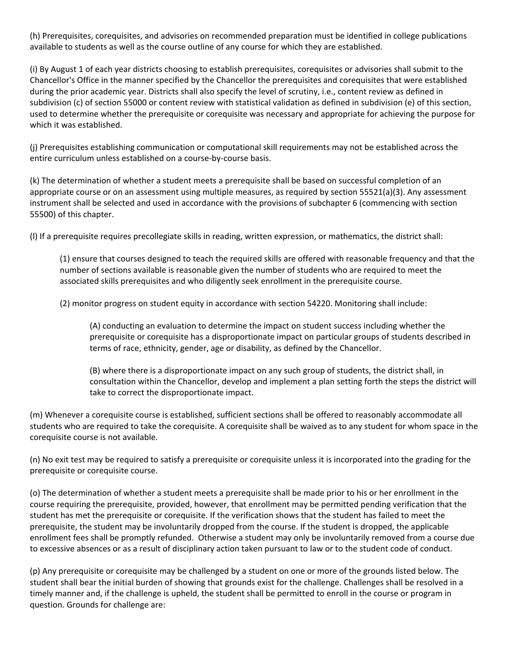(h) Prerequisites, corequisites, and advisories on recommended preparation must be identified in college publications available to students as well as the course outline of any course for which they are established.

(i) By August 1 of each year districts choosing to establish prerequisites, corequisites or advisories shall submit to the Chancellor's Office in the manner specified by the Chancellor the prerequisites and corequisites that were established during the prior academic year. Districts shall also specify the level of scrutiny, i.e., content review as defined in subdivision (c) of section 55000 or content review with statistical validation as defined in subdivision (e) of this section, used to determine whether the prerequisite or corequisite was necessary and appropriate for achieving the purpose for which it was established.

(j) Prerequisites establishing communication or computational skill requirements may not be established across the entire curriculum unless established on a course-by-course basis.

(k) The determination of whether a student meets a prerequisite shall be based on successful completion of an appropriate course or on an assessment using multiple measures, as required by section 55521(a)(3). Any assessment instrument shall be selected and used in accordance with the provisions of subchapter 6 (commencing with section 55500) of this chapter.

(l) If a prerequisite requires precollegiate skills in reading, written expression, or mathematics, the district shall:

(1) ensure that courses designed to teach the required skills are offered with reasonable frequency and that the number of sections available is reasonable given the number of students who are required to meet the associated skills prerequisites and who diligently seek enrollment in the prerequisite course.

(2) monitor progress on student equity in accordance with section 54220. Monitoring shall include:

(A) conducting an evaluation to determine the impact on student success including whether the prerequisite or corequisite has a disproportionate impact on particular groups of students described in terms of race, ethnicity, gender, age or disability, as defined by the Chancellor.

(B) where there is a disproportionate impact on any such group of students, the district shall, in consultation within the Chancellor, develop and implement a plan setting forth the steps the district will take to correct the disproportionate impact.

(m) Whenever a corequisite course is established, sufficient sections shall be offered to reasonably accommodate all students who are required to take the corequisite. A corequisite shall be waived as to any student for whom space in the corequisite course is not available.

(n) No exit test may be required to satisfy a prerequisite or corequisite unless it is incorporated into the grading for the prerequisite or corequisite course.

(o) The determination of whether a student meets a prerequisite shall be made prior to his or her enrollment in the course requiring the prerequisite, provided, however, that enrollment may be permitted pending verification that the student has met the prerequisite or corequisite. If the verification shows that the student has failed to meet the prerequisite, the student may be involuntarily dropped from the course. If the student is dropped, the applicable enrollment fees shall be promptly refunded. Otherwise a student may only be involuntarily removed from a course due to excessive absences or as a result of disciplinary action taken pursuant to law or to the student code of conduct.

(p) Any prerequisite or corequisite may be challenged by a student on one or more of the grounds listed below. The student shall bear the initial burden of showing that grounds exist for the challenge. Challenges shall be resolved in a timely manner and, if the challenge is upheld, the student shall be permitted to enroll in the course or program in question. Grounds for challenge are: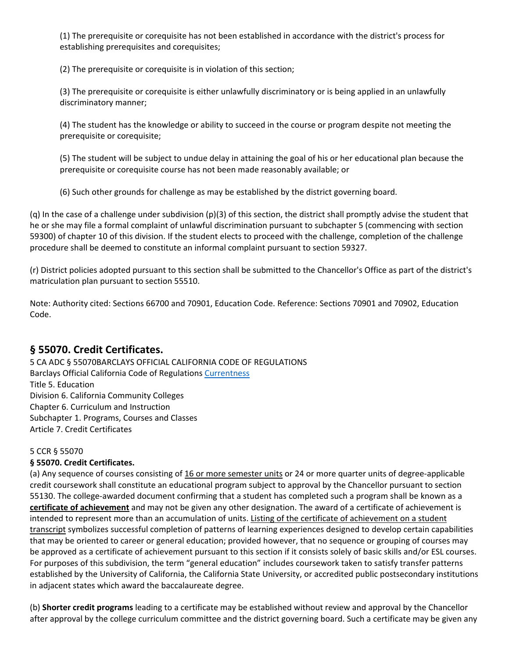(1) The prerequisite or corequisite has not been established in accordance with the district's process for establishing prerequisites and corequisites;

(2) The prerequisite or corequisite is in violation of this section;

(3) The prerequisite or corequisite is either unlawfully discriminatory or is being applied in an unlawfully discriminatory manner;

(4) The student has the knowledge or ability to succeed in the course or program despite not meeting the prerequisite or corequisite;

(5) The student will be subject to undue delay in attaining the goal of his or her educational plan because the prerequisite or corequisite course has not been made reasonably available; or

(6) Such other grounds for challenge as may be established by the district governing board.

(q) In the case of a challenge under subdivision  $(p)(3)$  of this section, the district shall promptly advise the student that he or she may file a formal complaint of unlawful discrimination pursuant to subchapter 5 (commencing with section 59300) of chapter 10 of this division. If the student elects to proceed with the challenge, completion of the challenge procedure shall be deemed to constitute an informal complaint pursuant to section 59327.

(r) District policies adopted pursuant to this section shall be submitted to the Chancellor's Office as part of the district's matriculation plan pursuant to section 55510.

Note: Authority cited: Sections 66700 and 70901, Education Code. Reference: Sections 70901 and 70902, Education Code.

## **§ 55070. Credit Certificates.**

5 CA ADC § 55070BARCLAYS OFFICIAL CALIFORNIA CODE OF REGULATIONS Barclays Official California Code of Regulations [Currentness](https://govt.westlaw.com/calregs/Document/IAC158694734046EDAAA1179BB5181FA9?viewType=FullText&originationContext=documenttoc&transitionType=CategoryPageItem&contextData=(sc.Default)#co_anchor_I9585DA2CE61C40A082893B7672E6EAF6) Title 5. Education Division 6. California Community Colleges Chapter 6. Curriculum and Instruction Subchapter 1. Programs, Courses and Classes Article 7. Credit Certificates

### 5 CCR § 55070

### **§ 55070. Credit Certificates.**

(a) Any sequence of courses consisting of 16 or more semester units or 24 or more quarter units of degree-applicable credit coursework shall constitute an educational program subject to approval by the Chancellor pursuant to section 55130. The college-awarded document confirming that a student has completed such a program shall be known as a **certificate of achievement** and may not be given any other designation. The award of a certificate of achievement is intended to represent more than an accumulation of units. Listing of the certificate of achievement on a student transcript symbolizes successful completion of patterns of learning experiences designed to develop certain capabilities that may be oriented to career or general education; provided however, that no sequence or grouping of courses may be approved as a certificate of achievement pursuant to this section if it consists solely of basic skills and/or ESL courses. For purposes of this subdivision, the term "general education" includes coursework taken to satisfy transfer patterns established by the University of California, the California State University, or accredited public postsecondary institutions in adjacent states which award the baccalaureate degree.

(b) **Shorter credit programs** leading to a certificate may be established without review and approval by the Chancellor after approval by the college curriculum committee and the district governing board. Such a certificate may be given any